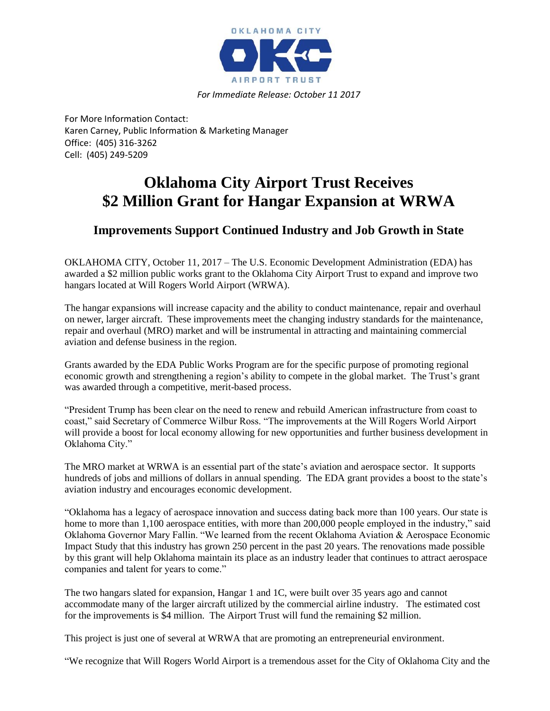

*For Immediate Release: October 11 2017*

For More Information Contact: Karen Carney, Public Information & Marketing Manager Office: (405) 316-3262 Cell: (405) 249-5209

## **Oklahoma City Airport Trust Receives \$2 Million Grant for Hangar Expansion at WRWA**

## **Improvements Support Continued Industry and Job Growth in State**

OKLAHOMA CITY, October 11, 2017 – The U.S. Economic Development Administration (EDA) has awarded a \$2 million public works grant to the Oklahoma City Airport Trust to expand and improve two hangars located at Will Rogers World Airport (WRWA).

The hangar expansions will increase capacity and the ability to conduct maintenance, repair and overhaul on newer, larger aircraft. These improvements meet the changing industry standards for the maintenance, repair and overhaul (MRO) market and will be instrumental in attracting and maintaining commercial aviation and defense business in the region.

Grants awarded by the EDA Public Works Program are for the specific purpose of promoting regional economic growth and strengthening a region's ability to compete in the global market. The Trust's grant was awarded through a competitive, merit-based process.

"President Trump has been clear on the need to renew and rebuild American infrastructure from coast to coast," said Secretary of Commerce Wilbur Ross. "The improvements at the Will Rogers World Airport will provide a boost for local economy allowing for new opportunities and further business development in Oklahoma City."

The MRO market at WRWA is an essential part of the state's aviation and aerospace sector. It supports hundreds of jobs and millions of dollars in annual spending. The EDA grant provides a boost to the state's aviation industry and encourages economic development.

"Oklahoma has a legacy of aerospace innovation and success dating back more than 100 years. Our state is home to more than 1,100 aerospace entities, with more than 200,000 people employed in the industry," said Oklahoma Governor Mary Fallin. "We learned from the recent Oklahoma Aviation & Aerospace Economic Impact Study that this industry has grown 250 percent in the past 20 years. The renovations made possible by this grant will help Oklahoma maintain its place as an industry leader that continues to attract aerospace companies and talent for years to come."

The two hangars slated for expansion, Hangar 1 and 1C, were built over 35 years ago and cannot accommodate many of the larger aircraft utilized by the commercial airline industry. The estimated cost for the improvements is \$4 million. The Airport Trust will fund the remaining \$2 million.

This project is just one of several at WRWA that are promoting an entrepreneurial environment.

"We recognize that Will Rogers World Airport is a tremendous asset for the City of Oklahoma City and the